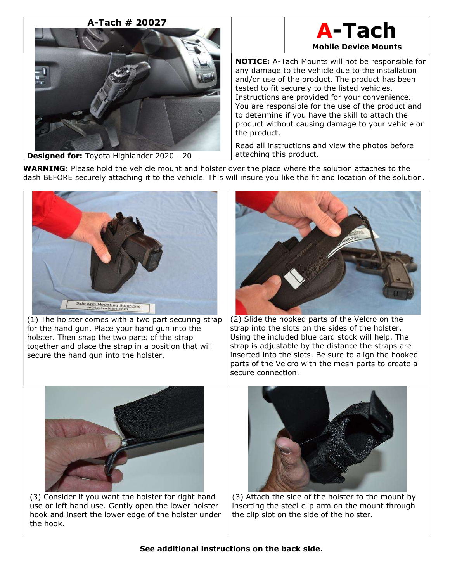# A-Tach # 20027



# A-Tach Mobile Device Mounts

NOTICE: A-Tach Mounts will not be responsible for any damage to the vehicle due to the installation and/or use of the product. The product has been tested to fit securely to the listed vehicles. Instructions are provided for your convenience. You are responsible for the use of the product and to determine if you have the skill to attach the product without causing damage to your vehicle or the product.

Read all instructions and view the photos before attaching this product.

WARNING: Please hold the vehicle mount and holster over the place where the solution attaches to the dash BEFORE securely attaching it to the vehicle. This will insure you like the fit and location of the solution.



(1) The holster comes with a two part securing strap for the hand gun. Place your hand gun into the holster. Then snap the two parts of the strap together and place the strap in a position that will secure the hand gun into the holster.



(2) Slide the hooked parts of the Velcro on the strap into the slots on the sides of the holster. Using the included blue card stock will help. The strap is adjustable by the distance the straps are inserted into the slots. Be sure to align the hooked parts of the Velcro with the mesh parts to create a secure connection.



(3) Consider if you want the holster for right hand use or left hand use. Gently open the lower holster hook and insert the lower edge of the holster under the hook.



(3) Attach the side of the holster to the mount by inserting the steel clip arm on the mount through the clip slot on the side of the holster.